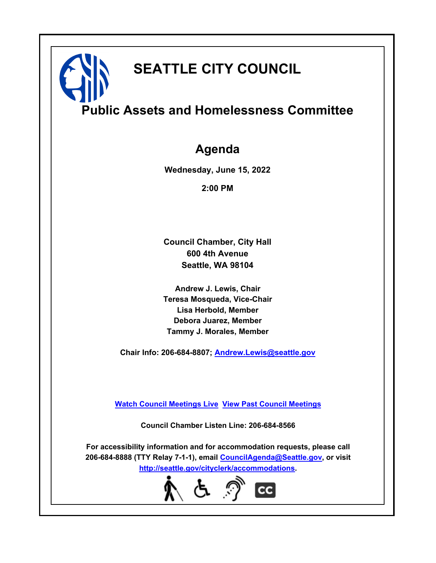# **SEATTLE CITY COUNCIL**

**Public Assets and Homelessness Committee**

### **Agenda**

**Wednesday, June 15, 2022**

**2:00 PM**

**Council Chamber, City Hall 600 4th Avenue Seattle, WA 98104**

**Andrew J. Lewis, Chair Teresa Mosqueda, Vice-Chair Lisa Herbold, Member Debora Juarez, Member Tammy J. Morales, Member**

**Chair Info: 206-684-8807; [Andrew.Lewis@seattle.gov](mailto: Andrew.Lewis@seattle.gov)**

**[Watch Council Meetings Live](http://www.seattle.gov/council/councillive.htm) [View Past Council Meetings](http://www.seattlechannel.org/videos/browseVideos.asp?topic=council)**

**Council Chamber Listen Line: 206-684-8566**

**For accessibility information and for accommodation requests, please call 206-684-8888 (TTY Relay 7-1-1), email [CouncilAgenda@Seattle.gov](mailto: CouncilAgenda@Seattle.gov), or visit <http://seattle.gov/cityclerk/accommodations>.**

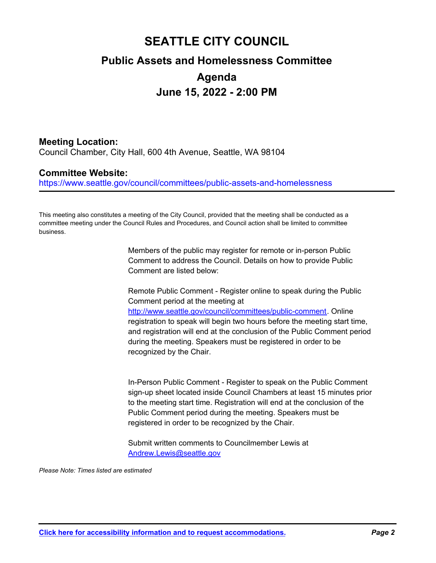## **SEATTLE CITY COUNCIL Public Assets and Homelessness Committee Agenda June 15, 2022 - 2:00 PM**

### **Meeting Location:**

Council Chamber, City Hall, 600 4th Avenue, Seattle, WA 98104

#### **Committee Website:**

https://www.seattle.gov/council/committees/public-assets-and-homelessness

This meeting also constitutes a meeting of the City Council, provided that the meeting shall be conducted as a committee meeting under the Council Rules and Procedures, and Council action shall be limited to committee business.

> Members of the public may register for remote or in-person Public Comment to address the Council. Details on how to provide Public Comment are listed below:

Remote Public Comment - Register online to speak during the Public Comment period at the meeting at http://www.seattle.gov/council/committees/public-comment. Online registration to speak will begin two hours before the meeting start time, and registration will end at the conclusion of the Public Comment period during the meeting. Speakers must be registered in order to be recognized by the Chair.

In-Person Public Comment - Register to speak on the Public Comment sign-up sheet located inside Council Chambers at least 15 minutes prior to the meeting start time. Registration will end at the conclusion of the Public Comment period during the meeting. Speakers must be registered in order to be recognized by the Chair.

Submit written comments to Councilmember Lewis at Andrew.Lewis@seattle.gov

*Please Note: Times listed are estimated*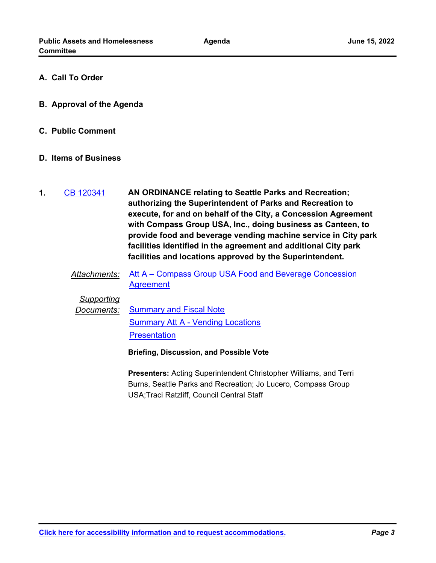- **A. Call To Order**
- **B. Approval of the Agenda**
- **C. Public Comment**

#### **D. Items of Business**

- **AN ORDINANCE relating to Seattle Parks and Recreation; authorizing the Superintendent of Parks and Recreation to execute, for and on behalf of the City, a Concession Agreement with Compass Group USA, Inc., doing business as Canteen, to provide food and beverage vending machine service in City park facilities identified in the agreement and additional City park facilities and locations approved by the Superintendent. 1.** [CB 120341](http://seattle.legistar.com/gateway.aspx?m=l&id=/matter.aspx?key=12896)
	- *Attachments:* [Att A Compass Group USA Food and Beverage Concession](http://seattle.legistar.com/gateway.aspx?M=F&ID=488922fe-634d-447d-a4d1-de12839d728c.docx)  **Agreement**

#### *Supporting*

*Documents:* [Summary and Fiscal Note](http://seattle.legistar.com/gateway.aspx?M=F&ID=6834eced-bb85-4320-9b45-e30984c99d73.docx) [Summary Att A - Vending Locations](http://seattle.legistar.com/gateway.aspx?M=F&ID=031ccd2d-a3c6-4d5a-9296-039b91194a1f.docx) **[Presentation](http://seattle.legistar.com/gateway.aspx?M=F&ID=ef2499ae-a29d-47b4-ab95-4e56ea0daf7c.pdf)** 

**Briefing, Discussion, and Possible Vote**

**Presenters:** Acting Superintendent Christopher Williams, and Terri Burns, Seattle Parks and Recreation; Jo Lucero, Compass Group USA;Traci Ratzliff, Council Central Staff